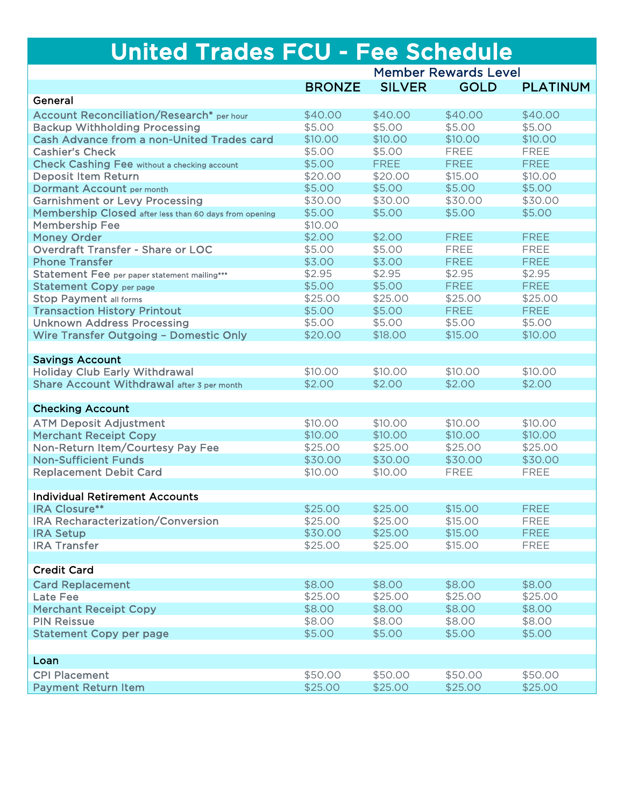## United Trades FCU - Fee Schedule

|                                                        |               | <b>Member Rewards Level</b> |             |                 |  |
|--------------------------------------------------------|---------------|-----------------------------|-------------|-----------------|--|
|                                                        | <b>BRONZE</b> | <b>SILVER</b>               | <b>GOLD</b> | <b>PLATINUM</b> |  |
| General                                                |               |                             |             |                 |  |
| <b>Account Reconciliation/Research*</b> per hour       | \$40.00       | \$40.00                     | \$40.00     | \$40.00         |  |
| <b>Backup Withholding Processing</b>                   | \$5.00        | \$5.00                      | \$5.00      | \$5.00          |  |
| <b>Cash Advance from a non-United Trades card</b>      | \$10.00       | \$10.00                     | \$10.00     | \$10.00         |  |
| <b>Cashier's Check</b>                                 | \$5.00        | \$5.00                      | <b>FREE</b> | <b>FREE</b>     |  |
| <b>Check Cashing Fee without a checking account</b>    | \$5.00        | <b>FREE</b>                 | <b>FREE</b> | <b>FREE</b>     |  |
| <b>Deposit Item Return</b>                             | \$20.00       | \$20.00                     | \$15.00     | \$10.00         |  |
| <b>Dormant Account per month</b>                       | \$5.00        | \$5.00                      | \$5.00      | \$5.00          |  |
| <b>Garnishment or Levy Processing</b>                  | \$30.00       | \$30.00                     | \$30.00     | \$30.00         |  |
| Membership Closed after less than 60 days from opening | \$5.00        | \$5.00                      | \$5.00      | \$5.00          |  |
| <b>Membership Fee</b>                                  | \$10.00       |                             |             |                 |  |
| <b>Money Order</b>                                     | \$2.00        | \$2.00                      | <b>FREE</b> | <b>FREE</b>     |  |
| <b>Overdraft Transfer - Share or LOC</b>               | \$5.00        | \$5.00                      | <b>FREE</b> | <b>FREE</b>     |  |
| <b>Phone Transfer</b>                                  | \$3.00        | \$3.00                      | <b>FREE</b> | <b>FREE</b>     |  |
| Statement Fee per paper statement mailing***           | \$2.95        | \$2.95                      | \$2.95      | \$2.95          |  |
| <b>Statement Copy per page</b>                         | \$5.00        | \$5.00                      | <b>FREE</b> | <b>FREE</b>     |  |
| <b>Stop Payment all forms</b>                          | \$25.00       | \$25.00                     | \$25.00     | \$25.00         |  |
| <b>Transaction History Printout</b>                    | \$5.00        | \$5.00                      | <b>FREE</b> | <b>FREE</b>     |  |
| <b>Unknown Address Processing</b>                      | \$5.00        | \$5.00                      | \$5.00      | \$5.00          |  |
| Wire Transfer Outgoing - Domestic Only                 | \$20.00       | \$18.00                     | \$15.00     | \$10.00         |  |
|                                                        |               |                             |             |                 |  |
| <b>Savings Account</b>                                 |               |                             |             |                 |  |
| <b>Holiday Club Early Withdrawal</b>                   | \$10.00       | \$10.00                     | \$10.00     | \$10.00         |  |
| Share Account Withdrawal after 3 per month             | \$2.00        | \$2.00                      | \$2.00      | \$2.00          |  |
|                                                        |               |                             |             |                 |  |
| <b>Checking Account</b>                                |               |                             |             |                 |  |
| <b>ATM Deposit Adjustment</b>                          | \$10.00       | \$10.00                     | \$10.00     | \$10.00         |  |
| <b>Merchant Receipt Copy</b>                           | \$10.00       | \$10.00                     | \$10.00     | \$10.00         |  |
| Non-Return Item/Courtesy Pay Fee                       | \$25.00       | \$25.00                     | \$25.00     | \$25.00         |  |
| <b>Non-Sufficient Funds</b>                            | \$30.00       | \$30.00                     | \$30.00     | \$30.00         |  |
| <b>Replacement Debit Card</b>                          | \$10.00       | \$10.00                     | <b>FREE</b> | <b>FREE</b>     |  |
|                                                        |               |                             |             |                 |  |
| <b>Individual Retirement Accounts</b>                  |               |                             |             |                 |  |
| <b>IRA Closure**</b>                                   | \$25.00       | \$25.00                     | \$15.00     | <b>FREE</b>     |  |
| <b>IRA Recharacterization/Conversion</b>               | \$25.00       | \$25.00                     | \$15.00     | <b>FREE</b>     |  |
| <b>IRA Setup</b>                                       | \$30.00       | \$25.00                     | \$15.00     | <b>FREE</b>     |  |
| <b>IRA Transfer</b>                                    | \$25.00       | \$25.00                     | \$15.00     | <b>FREE</b>     |  |
|                                                        |               |                             |             |                 |  |
| <b>Credit Card</b>                                     |               |                             |             |                 |  |
| <b>Card Replacement</b>                                | \$8.00        | \$8.00                      | \$8.00      | \$8.00          |  |
| <b>Late Fee</b>                                        | \$25.00       | \$25.00                     | \$25.00     | \$25.00         |  |
| <b>Merchant Receipt Copy</b>                           | \$8.00        | \$8.00                      | \$8.00      | \$8.00          |  |
| <b>PIN Reissue</b>                                     | \$8.00        | \$8.00                      | \$8.00      | \$8.00          |  |
| <b>Statement Copy per page</b>                         | \$5.00        | \$5.00                      | \$5.00      | \$5.00          |  |
|                                                        |               |                             |             |                 |  |
| Loan                                                   |               |                             |             |                 |  |
| <b>CPI Placement</b>                                   | \$50.00       | \$50.00                     | \$50.00     | \$50.00         |  |
| <b>Payment Return Item</b>                             | \$25.00       | \$25.00                     | \$25.00     | \$25.00         |  |